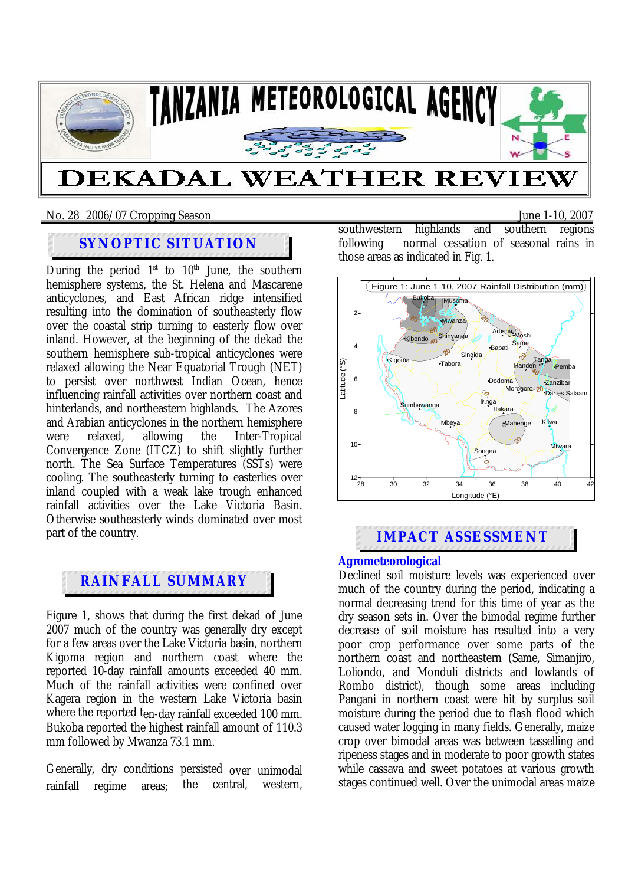

# **DEKADAL WEATHER REVII**

### No. 28 2006/07 Cropping SeasonJune 1-10, 2007

### **SYNOPTIC SITUATION**

During the period  $1<sup>st</sup>$  to  $10<sup>th</sup>$  June, the southern hemisphere systems, the St. Helena and Mascarene anticyclones, and East African ridge intensified resulting into the domination of southeasterly flow over the coastal strip turning to easterly flow over inland. However, at the beginning of the dekad the southern hemisphere sub-tropical anticyclones were relaxed allowing the Near Equatorial Trough (NET) to persist over northwest Indian Ocean, hence influencing rainfall activities over northern coast and hinterlands, and northeastern highlands. The Azores and Arabian anticyclones in the northern hemisphere<br>were relaxed. allowing the Inter-Tropical were relaxed, allowing the Inter-Tropical Convergence Zone (ITCZ) to shift slightly further north. The Sea Surface Temperatures (SSTs) were cooling. The southeasterly turning to easterlies over inland coupled with a weak lake trough enhanced rainfall activities over the Lake Victoria Basin. Otherwise southeasterly winds dominated over most part of the country.

## **RAINFALL SUMMARY**

Figure 1, shows that during the first dekad of June 2007 much of the country was generally dry except for a few areas over the Lake Victoria basin, northern Kigoma region and northern coast where the reported 10-day rainfall amounts exceeded 40 mm. Much of the rainfall activities were confined over Kagera region in the western Lake Victoria basin where the reported ten-day rainfall exceeded 100 mm. Bukoba reported the highest rainfall amount of 110.3 mm followed by Mwanza 73.1 mm.

Generally, dry conditions persisted over unimodal rainfall regime areas; the central, western, southwestern highlands and southern regions following normal cessation of seasonal rains in those areas as indicated in Fig. 1.



### **IMPACT ASSESSMENT**

### **Agrometeorological**

Declined soil moisture levels was experienced over much of the country during the period, indicating a normal decreasing trend for this time of year as the dry season sets in. Over the bimodal regime further decrease of soil moisture has resulted into a very poor crop performance over some parts of the northern coast and northeastern (Same, Simanjiro, Loliondo, and Monduli districts and lowlands of Rombo district), though some areas including Pangani in northern coast were hit by surplus soil moisture during the period due to flash flood which caused water logging in many fields. Generally, maize crop over bimodal areas was between tasselling and ripeness stages and in moderate to poor growth states while cassava and sweet potatoes at various growth stages continued well. Over the unimodal areas maize